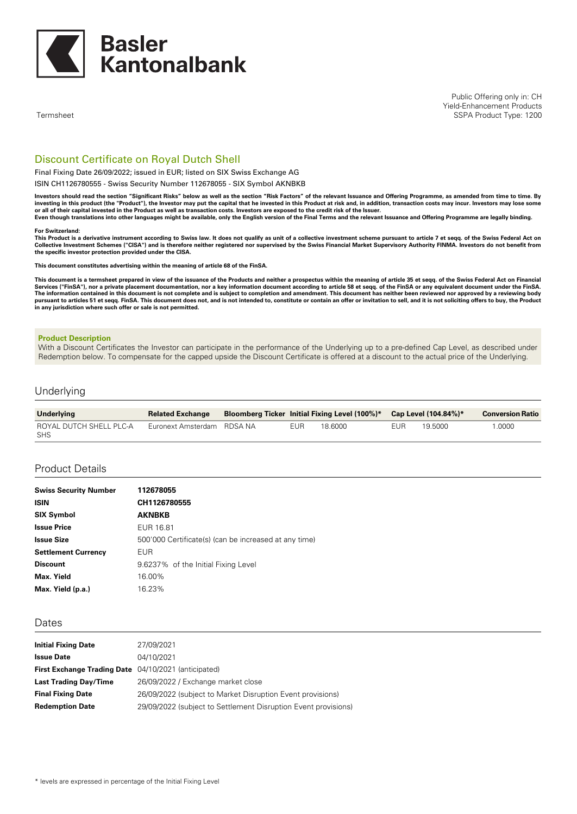

Public Offering only in: CH Yield-Enhancement Products SSPA Product Type: 1200

Termsheet

# Discount Certificate on Royal Dutch Shell

### Final Fixing Date 26/09/2022; issued in EUR; listed on SIX Swiss Exchange AG

ISIN CH1126780555 - Swiss Security Number 112678055 - SIX Symbol AKNBKB

Investors should read the section "Significant Risks" below as well as the section "Risk Factors" of the relevant Issuance and Offering Programme, as amended from time to time. By investing in this product (the "Product"), the Investor may put the capital that he invested in this Product at risk and, in addition, transaction costs may incur. Investors may lose some or all of their capital invested in the Product as well as transaction costs. Investors are exposed to the credit risk of the Issuer. Even though translations into other languages might be available, only the English version of the Final Terms and the relevant Issuance and Offering Programme are legally binding.

#### **For Switzerland:**

This Product is a derivative instrument according to Swiss law. It does not qualify as unit of a collective investment scheme pursuant to article 7 et seqq. of the Swiss Federal Act on<br>Collective Investment Schemes ("CISA" **the specific investor protection provided under the CISA.**

**This document constitutes advertising within the meaning of article 68 of the FinSA.**

This document is a termsheet prepared in view of the issuance of the Products and neither a prospectus within the meaning of article 35 et seqq. of the Swiss Federal Act on Financial Services ("FinSA"), nor a private placement documentation, nor a key information document according to article 58 et seqq. of the FinSA or any equivalent document under the FinSA.<br>The information contained in this document pursuant to articles 51 et seqq. FinSA. This document does not, and is not intended to, constitute or contain an offer or invitation to sell, and it is not soliciting offers to buy, the Product **in any jurisdiction where such offer or sale is not permitted.**

#### **Product Description**

With a Discount Certificates the Investor can participate in the performance of the Underlying up to a pre-defined Cap Level, as described under Redemption below. To compensate for the capped upside the Discount Certificate is offered at a discount to the actual price of the Underlying.

### Underlying

| <b>Underlying</b>              | <b>Related Exchange</b>    |     | <b>Bloomberg Ticker Initial Fixing Level (100%)*</b> |     | Cap Level (104.84%)* | <b>Conversion Ratio</b> |
|--------------------------------|----------------------------|-----|------------------------------------------------------|-----|----------------------|-------------------------|
| ROYAL DUTCH SHELL PLC-A<br>SHS | Euronext Amsterdam RDSA NA | EUR | 18.6000                                              | EUR | 19.5000              | $0000$ . $^{\circ}$     |

### Product Details

| <b>Swiss Security Number</b> | 112678055                                             |
|------------------------------|-------------------------------------------------------|
| <b>ISIN</b>                  | CH1126780555                                          |
| <b>SIX Symbol</b>            | <b>AKNBKB</b>                                         |
| <b>Issue Price</b>           | EUR 16.81                                             |
| <b>Issue Size</b>            | 500'000 Certificate(s) (can be increased at any time) |
| <b>Settlement Currency</b>   | <b>EUR</b>                                            |
| <b>Discount</b>              | 9.6237% of the Initial Fixing Level                   |
| Max. Yield                   | 16.00%                                                |
| Max. Yield (p.a.)            | 16.23%                                                |

#### Dates

| <b>Initial Fixing Date</b>                                  | 27/09/2021                                                     |
|-------------------------------------------------------------|----------------------------------------------------------------|
| <b>Issue Date</b>                                           | 04/10/2021                                                     |
| <b>First Exchange Trading Date</b> 04/10/2021 (anticipated) |                                                                |
| <b>Last Trading Day/Time</b>                                | 26/09/2022 / Exchange market close                             |
| <b>Final Fixing Date</b>                                    | 26/09/2022 (subject to Market Disruption Event provisions)     |
| <b>Redemption Date</b>                                      | 29/09/2022 (subject to Settlement Disruption Event provisions) |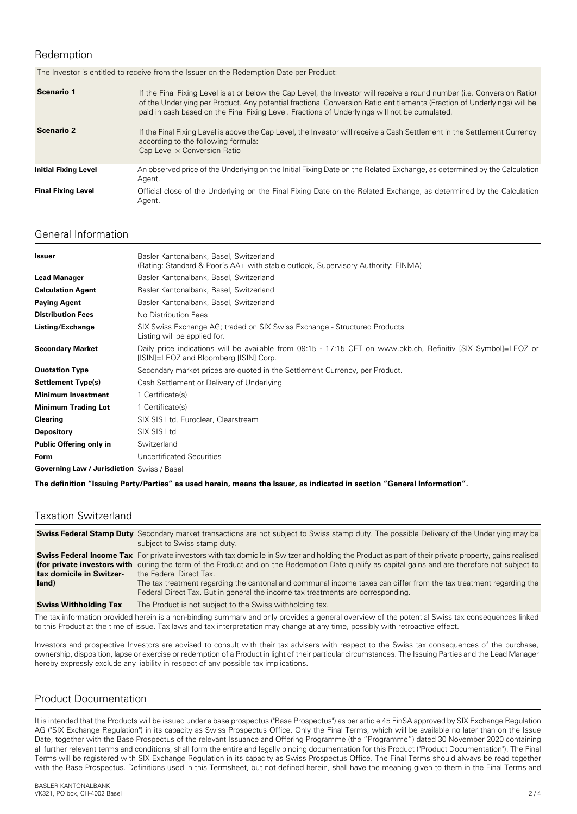## Redemption

| The Investor is entitled to receive from the Issuer on the Redemption Date per Product: |                                                                                                                                                                                                                                                                                                                                                      |  |
|-----------------------------------------------------------------------------------------|------------------------------------------------------------------------------------------------------------------------------------------------------------------------------------------------------------------------------------------------------------------------------------------------------------------------------------------------------|--|
| <b>Scenario 1</b>                                                                       | If the Final Fixing Level is at or below the Cap Level, the Investor will receive a round number (i.e. Conversion Ratio)<br>of the Underlying per Product. Any potential fractional Conversion Ratio entitlements (Fraction of Underlyings) will be<br>paid in cash based on the Final Fixing Level. Fractions of Underlyings will not be cumulated. |  |
| <b>Scenario 2</b>                                                                       | If the Final Fixing Level is above the Cap Level, the Investor will receive a Cash Settlement in the Settlement Currency<br>according to the following formula:<br>Cap Level $\times$ Conversion Ratio                                                                                                                                               |  |
| <b>Initial Fixing Level</b>                                                             | An observed price of the Underlying on the Initial Fixing Date on the Related Exchange, as determined by the Calculation<br>Agent.                                                                                                                                                                                                                   |  |
| <b>Final Fixing Level</b>                                                               | Official close of the Underlying on the Final Fixing Date on the Related Exchange, as determined by the Calculation<br>Agent.                                                                                                                                                                                                                        |  |

# General Information

| <b>Issuer</b>                              | Basler Kantonalbank, Basel, Switzerland<br>(Rating: Standard & Poor's AA+ with stable outlook, Supervisory Authority: FINMA)                             |
|--------------------------------------------|----------------------------------------------------------------------------------------------------------------------------------------------------------|
| <b>Lead Manager</b>                        | Basler Kantonalbank, Basel, Switzerland                                                                                                                  |
| <b>Calculation Agent</b>                   | Basler Kantonalbank, Basel, Switzerland                                                                                                                  |
| <b>Paying Agent</b>                        | Basler Kantonalbank, Basel, Switzerland                                                                                                                  |
| <b>Distribution Fees</b>                   | No Distribution Fees                                                                                                                                     |
| Listing/Exchange                           | SIX Swiss Exchange AG; traded on SIX Swiss Exchange - Structured Products<br>Listing will be applied for.                                                |
| <b>Secondary Market</b>                    | Daily price indications will be available from 09:15 - 17:15 CET on www.bkb.ch, Refinitiv [SIX Symbol]=LEOZ or<br>[ISIN]=LEOZ and Bloomberg [ISIN] Corp. |
| <b>Quotation Type</b>                      | Secondary market prices are quoted in the Settlement Currency, per Product.                                                                              |
| <b>Settlement Type(s)</b>                  | Cash Settlement or Delivery of Underlying                                                                                                                |
| <b>Minimum Investment</b>                  | 1 Certificate(s)                                                                                                                                         |
| <b>Minimum Trading Lot</b>                 | 1 Certificate(s)                                                                                                                                         |
| <b>Clearing</b>                            | SIX SIS Ltd, Euroclear, Clearstream                                                                                                                      |
| <b>Depository</b>                          | SIX SIS Ltd                                                                                                                                              |
| Public Offering only in                    | Switzerland                                                                                                                                              |
| Form                                       | Uncertificated Securities                                                                                                                                |
| Governing Law / Jurisdiction Swiss / Basel |                                                                                                                                                          |

The definition "Issuing Party/Parties" as used herein, means the Issuer, as indicated in section "General Information".

## Taxation Switzerland

|                                   | <b>Swiss Federal Stamp Duty</b> Secondary market transactions are not subject to Swiss stamp duty. The possible Delivery of the Underlying may be<br>subject to Swiss stamp duty.                                                                                                                                                                                                                                                                                                                                                                   |
|-----------------------------------|-----------------------------------------------------------------------------------------------------------------------------------------------------------------------------------------------------------------------------------------------------------------------------------------------------------------------------------------------------------------------------------------------------------------------------------------------------------------------------------------------------------------------------------------------------|
| tax domicile in Switzer-<br>land) | <b>Swiss Federal Income Tax</b> For private investors with tax domicile in Switzerland holding the Product as part of their private property, gains realised<br>(for private investors with during the term of the Product and on the Redemption Date qualify as capital gains and are therefore not subject to<br>the Federal Direct Tax.<br>The tax treatment regarding the cantonal and communal income taxes can differ from the tax treatment regarding the<br>Federal Direct Tax. But in general the income tax treatments are corresponding. |
| <b>Swiss Withholding Tax</b>      | The Product is not subject to the Swiss withholding tax.                                                                                                                                                                                                                                                                                                                                                                                                                                                                                            |

The tax information provided herein is a non-binding summary and only provides a general overview of the potential Swiss tax consequences linked to this Product at the time of issue. Tax laws and tax interpretation may change at any time, possibly with retroactive effect.

Investors and prospective Investors are advised to consult with their tax advisers with respect to the Swiss tax consequences of the purchase, ownership, disposition, lapse or exercise or redemption of a Product in light of their particular circumstances. The Issuing Parties and the Lead Manager hereby expressly exclude any liability in respect of any possible tax implications.

# Product Documentation

It is intended that the Products will be issued under a base prospectus ("Base Prospectus") as per article 45 FinSA approved by SIX Exchange Regulation AG ("SIX Exchange Regulation") in its capacity as Swiss Prospectus Office. Only the Final Terms, which will be available no later than on the Issue Date, together with the Base Prospectus of the relevant Issuance and Offering Programme (the "Programme") dated 30 November 2020 containing all further relevant terms and conditions, shall form the entire and legally binding documentation for this Product ("Product Documentation"). The Final Terms will be registered with SIX Exchange Regulation in its capacity as Swiss Prospectus Office. The Final Terms should always be read together with the Base Prospectus. Definitions used in this Termsheet, but not defined herein, shall have the meaning given to them in the Final Terms and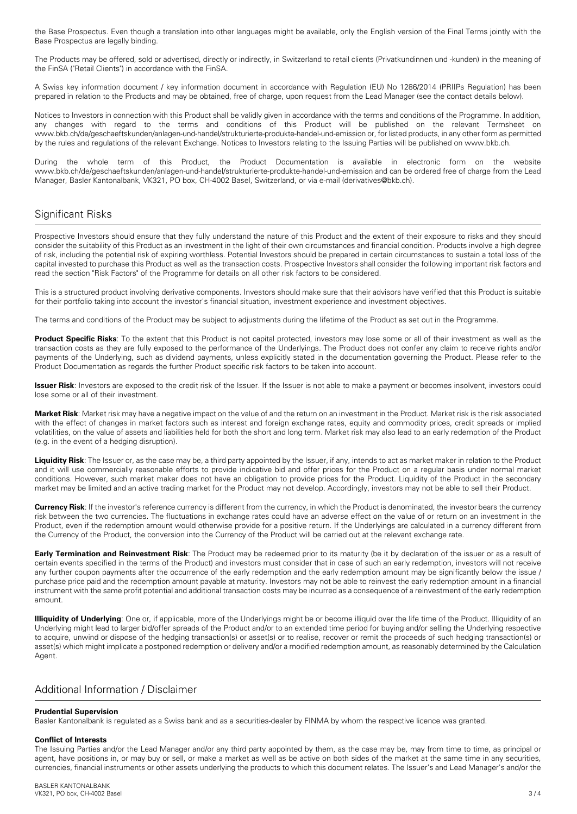the Base Prospectus. Even though a translation into other languages might be available, only the English version of the Final Terms jointly with the Base Prospectus are legally binding.

The Products may be offered, sold or advertised, directly or indirectly, in Switzerland to retail clients (Privatkundinnen und -kunden) in the meaning of the FinSA ("Retail Clients") in accordance with the FinSA.

A Swiss key information document / key information document in accordance with Regulation (EU) No 1286/2014 (PRIIPs Regulation) has been prepared in relation to the Products and may be obtained, free of charge, upon request from the Lead Manager (see the contact details below).

Notices to Investors in connection with this Product shall be validly given in accordance with the terms and conditions of the Programme. In addition, any changes with regard to the terms and conditions of this Product will be published on the relevant Termsheet on www.bkb.ch/de/geschaeftskunden/anlagen-und-handel/strukturierte-produkte-handel-und-emission or, for listed products, in any other form as permitted by the rules and regulations of the relevant Exchange. Notices to Investors relating to the Issuing Parties will be published on www.bkb.ch.

During the whole term of this Product, the Product Documentation is available in electronic form on the website www.bkb.ch/de/geschaeftskunden/anlagen-und-handel/strukturierte-produkte-handel-und-emission and can be ordered free of charge from the Lead Manager, Basler Kantonalbank, VK321, PO box, CH-4002 Basel, Switzerland, or via e-mail (derivatives@bkb.ch).

# Significant Risks

Prospective Investors should ensure that they fully understand the nature of this Product and the extent of their exposure to risks and they should consider the suitability of this Product as an investment in the light of their own circumstances and financial condition. Products involve a high degree of risk, including the potential risk of expiring worthless. Potential Investors should be prepared in certain circumstances to sustain a total loss of the capital invested to purchase this Product as well as the transaction costs. Prospective Investors shall consider the following important risk factors and read the section "Risk Factors" of the Programme for details on all other risk factors to be considered.

This is a structured product involving derivative components. Investors should make sure that their advisors have verified that this Product is suitable for their portfolio taking into account the investor's financial situation, investment experience and investment objectives.

The terms and conditions of the Product may be subject to adjustments during the lifetime of the Product as set out in the Programme.

**Product Specific Risks**: To the extent that this Product is not capital protected, investors may lose some or all of their investment as well as the transaction costs as they are fully exposed to the performance of the Underlyings. The Product does not confer any claim to receive rights and/or payments of the Underlying, such as dividend payments, unless explicitly stated in the documentation governing the Product. Please refer to the Product Documentation as regards the further Product specific risk factors to be taken into account.

**Issuer Risk**: Investors are exposed to the credit risk of the Issuer. If the Issuer is not able to make a payment or becomes insolvent, investors could lose some or all of their investment.

**Market Risk**: Market risk may have a negative impact on the value of and the return on an investment in the Product. Market risk is the risk associated with the effect of changes in market factors such as interest and foreign exchange rates, equity and commodity prices, credit spreads or implied volatilities, on the value of assets and liabilities held for both the short and long term. Market risk may also lead to an early redemption of the Product (e.g. in the event of a hedging disruption).

**Liquidity Risk**: The Issuer or, as the case may be, a third party appointed by the Issuer, if any, intends to act as market maker in relation to the Product and it will use commercially reasonable efforts to provide indicative bid and offer prices for the Product on a regular basis under normal market conditions. However, such market maker does not have an obligation to provide prices for the Product. Liquidity of the Product in the secondary market may be limited and an active trading market for the Product may not develop. Accordingly, investors may not be able to sell their Product.

**Currency Risk**: If the investor's reference currency is different from the currency, in which the Product is denominated, the investor bears the currency risk between the two currencies. The fluctuations in exchange rates could have an adverse effect on the value of or return on an investment in the Product, even if the redemption amount would otherwise provide for a positive return. If the Underlyings are calculated in a currency different from the Currency of the Product, the conversion into the Currency of the Product will be carried out at the relevant exchange rate.

**Early Termination and Reinvestment Risk**: The Product may be redeemed prior to its maturity (be it by declaration of the issuer or as a result of certain events specified in the terms of the Product) and investors must consider that in case of such an early redemption, investors will not receive any further coupon payments after the occurrence of the early redemption and the early redemption amount may be significantly below the issue / purchase price paid and the redemption amount payable at maturity. Investors may not be able to reinvest the early redemption amount in a financial instrument with the same profit potential and additional transaction costs may be incurred as a consequence of a reinvestment of the early redemption amount.

**Illiquidity of Underlying**: One or, if applicable, more of the Underlyings might be or become illiquid over the life time of the Product. Illiquidity of an Underlying might lead to larger bid/offer spreads of the Product and/or to an extended time period for buying and/or selling the Underlying respective to acquire, unwind or dispose of the hedging transaction(s) or asset(s) or to realise, recover or remit the proceeds of such hedging transaction(s) or asset(s) which might implicate a postponed redemption or delivery and/or a modified redemption amount, as reasonably determined by the Calculation Agent.

## Additional Information / Disclaimer

### **Prudential Supervision**

Basler Kantonalbank is regulated as a Swiss bank and as a securities-dealer by FINMA by whom the respective licence was granted.

### **Conflict of Interests**

The Issuing Parties and/or the Lead Manager and/or any third party appointed by them, as the case may be, may from time to time, as principal or agent, have positions in, or may buy or sell, or make a market as well as be active on both sides of the market at the same time in any securities, currencies, financial instruments or other assets underlying the products to which this document relates. The Issuer's and Lead Manager's and/or the